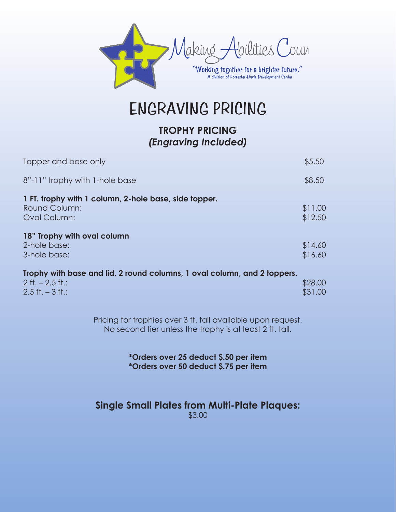

ENGRAVING PRICING

## **TROPHY PRICING** *(Engraving Included)*

| Topper and base only                                                                                                    | \$5.50             |
|-------------------------------------------------------------------------------------------------------------------------|--------------------|
| 8"-11" trophy with 1-hole base                                                                                          | \$8.50             |
| 1 FT. trophy with 1 column, 2-hole base, side topper.<br><b>Round Column:</b><br><b>Oval Column:</b>                    | \$11.00<br>\$12.50 |
| 18" Trophy with oval column<br>2-hole base:<br>3-hole base:                                                             | \$14.60<br>\$16.60 |
| Trophy with base and lid, 2 round columns, 1 oval column, and 2 toppers.<br>$2$ ft. $- 2.5$ ft.:<br>$2.5$ ft. $-3$ ft.: | \$28.00<br>\$31.00 |

Pricing for trophies over 3 ft. tall available upon request. No second tier unless the trophy is at least 2 ft. tall.

> **\*Orders over 25 deduct \$.50 per item \*Orders over 50 deduct \$.75 per item**

#### **Single Small Plates from Multi-Plate Plaques:** \$3.00